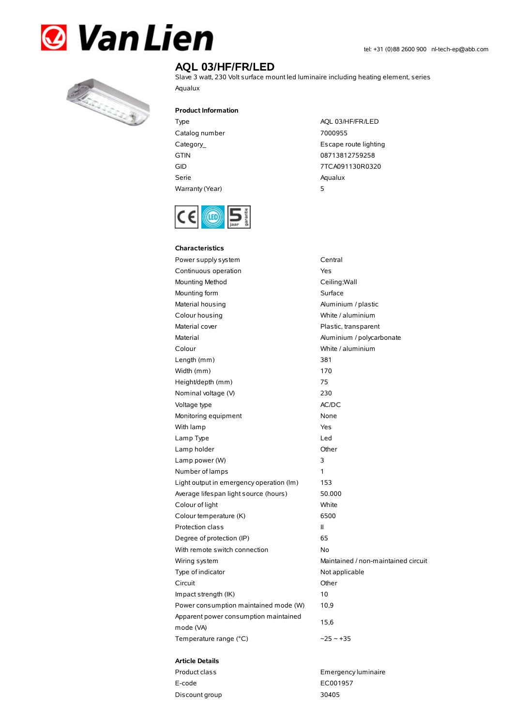



## **AQL 03/HF/FR/LED**

Slave 3 watt, 230 Volt surface mount led luminaire including heating element, series Aqualux

**Product Information**

- Type AQL 03/HF/FR/LED Catalog number 7000955 GTIN 08713812759258 Serie Aqualux Warranty(Year) 5
- Category\_ **Escape route lighting** GID 7TCA091130R0320



| Characteristics                                    |                                     |
|----------------------------------------------------|-------------------------------------|
| Power supply system                                | Central                             |
| Continuous operation                               | Yes                                 |
| Mounting Method                                    | Ceiling; Wall                       |
| Mounting form                                      | Surface                             |
| Material housing                                   | Aluminium / plastic                 |
| Colour housing                                     | White / aluminium                   |
| Material cover                                     | Plastic, transparent                |
| Material                                           | Aluminium / polycarbonate           |
| Colour                                             | White / aluminium                   |
| Length (mm)                                        | 381                                 |
| Width (mm)                                         | 170                                 |
| Height/depth (mm)                                  | 75                                  |
| Nominal voltage (V)                                | 230                                 |
| Voltage type                                       | AC/DC                               |
| Monitoring equipment                               | None                                |
| With lamp                                          | Yes                                 |
| Lamp Type                                          | Led                                 |
| Lamp holder                                        | Other                               |
| Lamp power (W)                                     | 3                                   |
| Number of lamps                                    | 1                                   |
| Light output in emergency operation (lm)           | 153                                 |
| Average lifespan light source (hours)              | 50.000                              |
| Colour of light                                    | White                               |
| Colour temperature (K)                             | 6500                                |
| Protection class                                   | Ш                                   |
| Degree of protection (IP)                          | 65                                  |
| With remote switch connection                      | No                                  |
| Wiring system                                      | Maintained / non-maintained circuit |
| Type of indicator                                  | Not applicable                      |
| Circuit                                            | Other                               |
| Impact strength (IK)                               | 10                                  |
| Power consumption maintained mode (W)              | 10,9                                |
| Apparent power consumption maintained<br>mode (VA) | 15,6                                |
| Temperature range (°C)                             | $-25 - +35$                         |

## **Article Details**

| Product class  | Emergency luminaire |
|----------------|---------------------|
| E-code         | EC001957            |
| Discount group | 30405               |